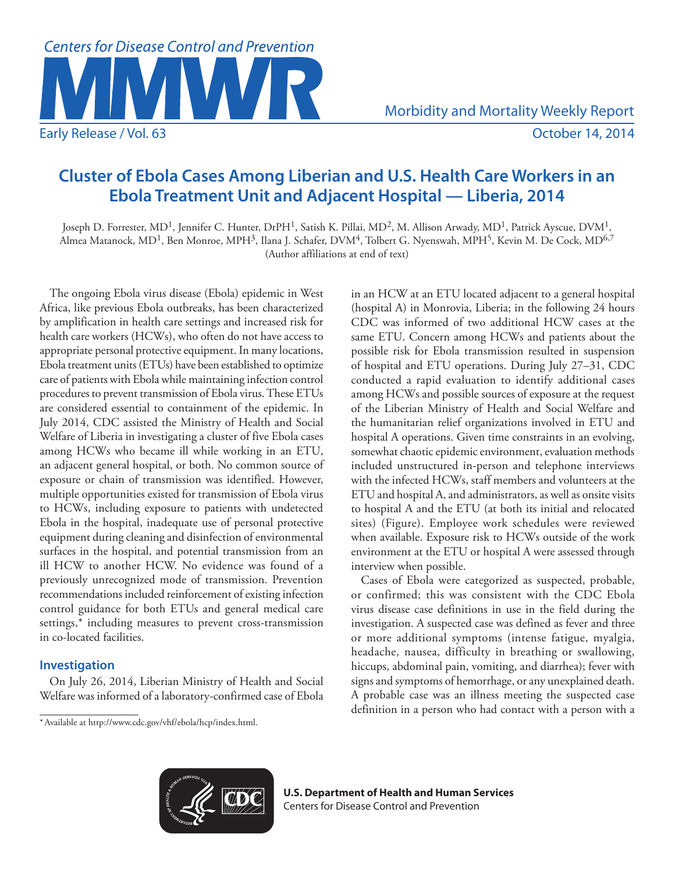

# **Cluster of Ebola Cases Among Liberian and U.S. Health Care Workers in an Ebola Treatment Unit and Adjacent Hospital — Liberia, 2014**

Joseph D. Forrester, MD<sup>1</sup>, Jennifer C. Hunter, DrPH<sup>1</sup>, Satish K. Pillai, MD<sup>2</sup>, M. Allison Arwady, MD<sup>1</sup>, Patrick Ayscue, DVM<sup>1</sup>, Almea Matanock, MD<sup>1</sup>, Ben Monroe, MPH<sup>3</sup>, Ilana J. Schafer, DVM<sup>4</sup>, Tolbert G. Nyenswah, MPH<sup>5</sup>, Kevin M. De Cock, MD<sup>6,7</sup> (Author affiliations at end of text)

The ongoing Ebola virus disease (Ebola) epidemic in West Africa, like previous Ebola outbreaks, has been characterized by amplification in health care settings and increased risk for health care workers (HCWs), who often do not have access to appropriate personal protective equipment. In many locations, Ebola treatment units (ETUs) have been established to optimize care of patients with Ebola while maintaining infection control procedures to prevent transmission of Ebola virus. These ETUs are considered essential to containment of the epidemic. In July 2014, CDC assisted the Ministry of Health and Social Welfare of Liberia in investigating a cluster of five Ebola cases among HCWs who became ill while working in an ETU, an adjacent general hospital, or both. No common source of exposure or chain of transmission was identified. However, multiple opportunities existed for transmission of Ebola virus to HCWs, including exposure to patients with undetected Ebola in the hospital, inadequate use of personal protective equipment during cleaning and disinfection of environmental surfaces in the hospital, and potential transmission from an ill HCW to another HCW. No evidence was found of a previously unrecognized mode of transmission. Prevention recommendations included reinforcement of existing infection control guidance for both ETUs and general medical care settings,\* including measures to prevent cross-transmission in co-located facilities.

# **Investigation**

On July 26, 2014, Liberian Ministry of Health and Social Welfare was informed of a laboratory-confirmed case of Ebola in an HCW at an ETU located adjacent to a general hospital (hospital A) in Monrovia, Liberia; in the following 24 hours CDC was informed of two additional HCW cases at the same ETU. Concern among HCWs and patients about the possible risk for Ebola transmission resulted in suspension of hospital and ETU operations. During July 27–31, CDC conducted a rapid evaluation to identify additional cases among HCWs and possible sources of exposure at the request of the Liberian Ministry of Health and Social Welfare and the humanitarian relief organizations involved in ETU and hospital A operations. Given time constraints in an evolving, somewhat chaotic epidemic environment, evaluation methods included unstructured in-person and telephone interviews with the infected HCWs, staff members and volunteers at the ETU and hospital A, and administrators, as well as onsite visits to hospital A and the ETU (at both its initial and relocated sites) (Figure). Employee work schedules were reviewed when available. Exposure risk to HCWs outside of the work environment at the ETU or hospital A were assessed through interview when possible.

Cases of Ebola were categorized as suspected, probable, or confirmed; this was consistent with the CDC Ebola virus disease case definitions in use in the field during the investigation. A suspected case was defined as fever and three or more additional symptoms (intense fatigue, myalgia, headache, nausea, difficulty in breathing or swallowing, hiccups, abdominal pain, vomiting, and diarrhea); fever with signs and symptoms of hemorrhage, or any unexplained death. A probable case was an illness meeting the suspected case definition in a person who had contact with a person with a



**U.S. Department of Health and Human Services** Centers for Disease Control and Prevention

<sup>\*</sup>Available at [http://www.cdc.gov/vhf/ebola/hcp/index.html.](http://www.cdc.gov/vhf/ebola/hcp/index.html)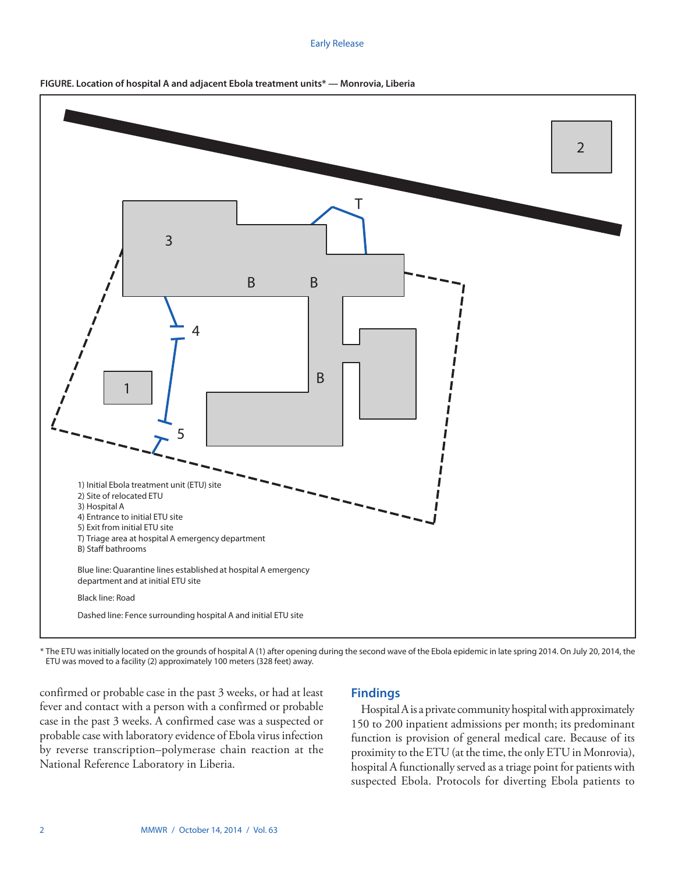#### Early Release



**FIGURE. Location of hospital A and adjacent Ebola treatment units\* — Monrovia, Liberia**

\* The ETU was initially located on the grounds of hospital A (1) after opening during the second wave of the Ebola epidemic in late spring 2014. On July 20, 2014, the ETU was moved to a facility (2) approximately 100 meters (328 feet) away.

confirmed or probable case in the past 3 weeks, or had at least fever and contact with a person with a confirmed or probable case in the past 3 weeks. A confirmed case was a suspected or probable case with laboratory evidence of Ebola virus infection by reverse transcription–polymerase chain reaction at the National Reference Laboratory in Liberia.

# **Findings**

Hospital A is a private community hospital with approximately 150 to 200 inpatient admissions per month; its predominant function is provision of general medical care. Because of its proximity to the ETU (at the time, the only ETU in Monrovia), hospital A functionally served as a triage point for patients with suspected Ebola. Protocols for diverting Ebola patients to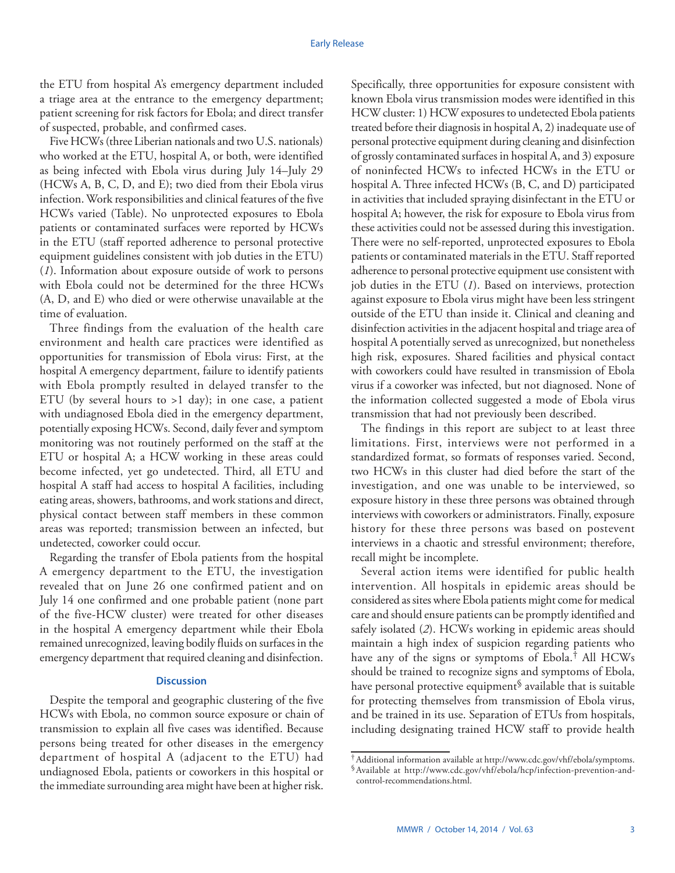the ETU from hospital A's emergency department included a triage area at the entrance to the emergency department; patient screening for risk factors for Ebola; and direct transfer of suspected, probable, and confirmed cases.

Five HCWs (three Liberian nationals and two U.S. nationals) who worked at the ETU, hospital A, or both, were identified as being infected with Ebola virus during July 14–July 29 (HCWs A, B, C, D, and E); two died from their Ebola virus infection. Work responsibilities and clinical features of the five HCWs varied (Table). No unprotected exposures to Ebola patients or contaminated surfaces were reported by HCWs in the ETU (staff reported adherence to personal protective equipment guidelines consistent with job duties in the ETU) (*1*). Information about exposure outside of work to persons with Ebola could not be determined for the three HCWs (A, D, and E) who died or were otherwise unavailable at the time of evaluation.

Three findings from the evaluation of the health care environment and health care practices were identified as opportunities for transmission of Ebola virus: First, at the hospital A emergency department, failure to identify patients with Ebola promptly resulted in delayed transfer to the ETU (by several hours to  $>1$  day); in one case, a patient with undiagnosed Ebola died in the emergency department, potentially exposing HCWs. Second, daily fever and symptom monitoring was not routinely performed on the staff at the ETU or hospital A; a HCW working in these areas could become infected, yet go undetected. Third, all ETU and hospital A staff had access to hospital A facilities, including eating areas, showers, bathrooms, and work stations and direct, physical contact between staff members in these common areas was reported; transmission between an infected, but undetected, coworker could occur.

Regarding the transfer of Ebola patients from the hospital A emergency department to the ETU, the investigation revealed that on June 26 one confirmed patient and on July 14 one confirmed and one probable patient (none part of the five-HCW cluster) were treated for other diseases in the hospital A emergency department while their Ebola remained unrecognized, leaving bodily fluids on surfaces in the emergency department that required cleaning and disinfection.

## **Discussion**

Despite the temporal and geographic clustering of the five HCWs with Ebola, no common source exposure or chain of transmission to explain all five cases was identified. Because persons being treated for other diseases in the emergency department of hospital A (adjacent to the ETU) had undiagnosed Ebola, patients or coworkers in this hospital or the immediate surrounding area might have been at higher risk.

Specifically, three opportunities for exposure consistent with known Ebola virus transmission modes were identified in this HCW cluster: 1) HCW exposures to undetected Ebola patients treated before their diagnosis in hospital A, 2) inadequate use of personal protective equipment during cleaning and disinfection of grossly contaminated surfaces in hospital A, and 3) exposure of noninfected HCWs to infected HCWs in the ETU or hospital A. Three infected HCWs (B, C, and D) participated in activities that included spraying disinfectant in the ETU or hospital A; however, the risk for exposure to Ebola virus from these activities could not be assessed during this investigation. There were no self-reported, unprotected exposures to Ebola patients or contaminated materials in the ETU. Staff reported adherence to personal protective equipment use consistent with job duties in the ETU (*1*). Based on interviews, protection against exposure to Ebola virus might have been less stringent outside of the ETU than inside it. Clinical and cleaning and disinfection activities in the adjacent hospital and triage area of hospital A potentially served as unrecognized, but nonetheless high risk, exposures. Shared facilities and physical contact with coworkers could have resulted in transmission of Ebola virus if a coworker was infected, but not diagnosed. None of the information collected suggested a mode of Ebola virus transmission that had not previously been described.

The findings in this report are subject to at least three limitations. First, interviews were not performed in a standardized format, so formats of responses varied. Second, two HCWs in this cluster had died before the start of the investigation, and one was unable to be interviewed, so exposure history in these three persons was obtained through interviews with coworkers or administrators. Finally, exposure history for these three persons was based on postevent interviews in a chaotic and stressful environment; therefore, recall might be incomplete.

Several action items were identified for public health intervention. All hospitals in epidemic areas should be considered as sites where Ebola patients might come for medical care and should ensure patients can be promptly identified and safely isolated (*2*). HCWs working in epidemic areas should maintain a high index of suspicion regarding patients who have any of the signs or symptoms of Ebola.† All HCWs should be trained to recognize signs and symptoms of Ebola, have personal protective equipment<sup>§</sup> available that is suitable for protecting themselves from transmission of Ebola virus, and be trained in its use. Separation of ETUs from hospitals, including designating trained HCW staff to provide health

<sup>†</sup>Additional information available at [http://www.cdc.gov/vhf/ebola/symptoms.](http://www.cdc.gov/vhf/ebola/symptoms) §Available at [http://www.cdc.gov/vhf/ebola/hcp/infection-prevention-and-](http://www.cdc.gov/vhf/ebola/hcp/infection-prevention-and-control-recommendations.html)

[control-recommendations.html](http://www.cdc.gov/vhf/ebola/hcp/infection-prevention-and-control-recommendations.html).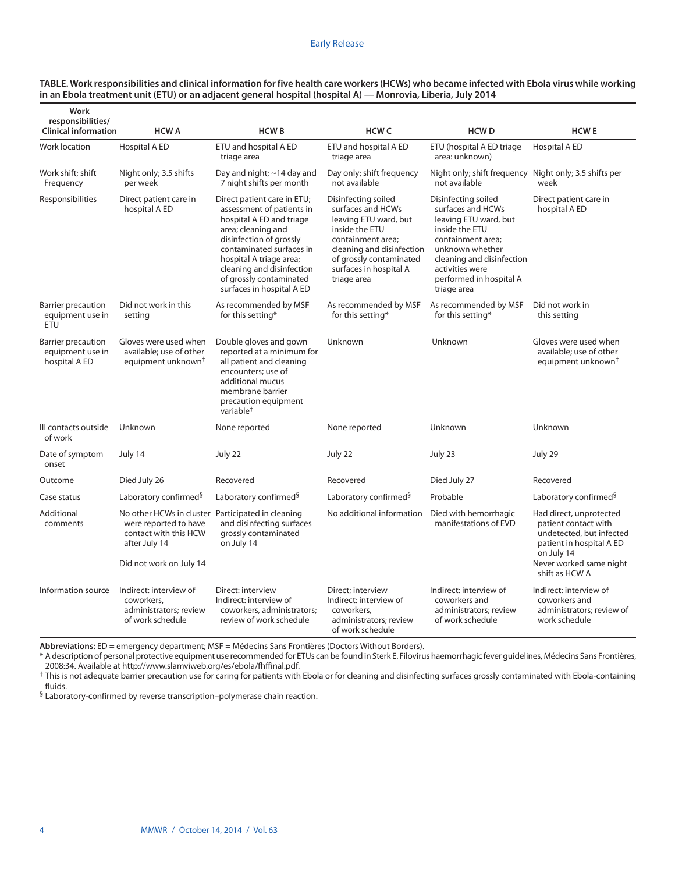#### Early Release

| Work<br>responsibilities/<br><b>Clinical information</b>       | <b>HCWA</b>                                                                                                            | <b>HCWB</b>                                                                                                                                                                                                                                                                       | <b>HCW C</b>                                                                                                                                                                                              | <b>HCWD</b>                                                                                                                                                                                                           | <b>HCWE</b>                                                                                                                                                        |
|----------------------------------------------------------------|------------------------------------------------------------------------------------------------------------------------|-----------------------------------------------------------------------------------------------------------------------------------------------------------------------------------------------------------------------------------------------------------------------------------|-----------------------------------------------------------------------------------------------------------------------------------------------------------------------------------------------------------|-----------------------------------------------------------------------------------------------------------------------------------------------------------------------------------------------------------------------|--------------------------------------------------------------------------------------------------------------------------------------------------------------------|
|                                                                |                                                                                                                        |                                                                                                                                                                                                                                                                                   |                                                                                                                                                                                                           |                                                                                                                                                                                                                       |                                                                                                                                                                    |
| Work location                                                  | <b>Hospital A ED</b>                                                                                                   | ETU and hospital A ED<br>triage area                                                                                                                                                                                                                                              | ETU and hospital A ED<br>triage area                                                                                                                                                                      | ETU (hospital A ED triage<br>area: unknown)                                                                                                                                                                           | Hospital A ED                                                                                                                                                      |
| Work shift; shift<br>Frequency                                 | Night only; 3.5 shifts<br>per week                                                                                     | Day and night; ~14 day and<br>7 night shifts per month                                                                                                                                                                                                                            | Day only; shift frequency<br>not available                                                                                                                                                                | Night only; shift frequency Night only; 3.5 shifts per<br>not available                                                                                                                                               | week                                                                                                                                                               |
| Responsibilities                                               | Direct patient care in<br>hospital A ED                                                                                | Direct patient care in ETU;<br>assessment of patients in<br>hospital A ED and triage<br>area; cleaning and<br>disinfection of grossly<br>contaminated surfaces in<br>hospital A triage area;<br>cleaning and disinfection<br>of grossly contaminated<br>surfaces in hospital A ED | Disinfecting soiled<br>surfaces and HCWs<br>leaving ETU ward, but<br>inside the ETU<br>containment area;<br>cleaning and disinfection<br>of grossly contaminated<br>surfaces in hospital A<br>triage area | Disinfecting soiled<br>surfaces and HCWs<br>leaving ETU ward, but<br>inside the ETU<br>containment area;<br>unknown whether<br>cleaning and disinfection<br>activities were<br>performed in hospital A<br>triage area | Direct patient care in<br>hospital A ED                                                                                                                            |
| Barrier precaution<br>equipment use in<br>ETU                  | Did not work in this<br>setting                                                                                        | As recommended by MSF<br>for this setting*                                                                                                                                                                                                                                        | As recommended by MSF<br>for this setting*                                                                                                                                                                | As recommended by MSF<br>for this setting*                                                                                                                                                                            | Did not work in<br>this setting                                                                                                                                    |
| <b>Barrier precaution</b><br>equipment use in<br>hospital A ED | Gloves were used when<br>available: use of other<br>equipment unknown <sup>†</sup>                                     | Double gloves and gown<br>reported at a minimum for<br>all patient and cleaning<br>encounters; use of<br>additional mucus<br>membrane barrier<br>precaution equipment<br>variable <sup>†</sup>                                                                                    | Unknown                                                                                                                                                                                                   | Unknown                                                                                                                                                                                                               | Gloves were used when<br>available: use of other<br>equipment unknown <sup>†</sup>                                                                                 |
| Ill contacts outside<br>of work                                | Unknown                                                                                                                | None reported                                                                                                                                                                                                                                                                     | None reported                                                                                                                                                                                             | Unknown                                                                                                                                                                                                               | Unknown                                                                                                                                                            |
| Date of symptom<br>onset                                       | July 14                                                                                                                | July 22                                                                                                                                                                                                                                                                           | July 22                                                                                                                                                                                                   | July 23                                                                                                                                                                                                               | July 29                                                                                                                                                            |
| Outcome                                                        | Died July 26                                                                                                           | Recovered                                                                                                                                                                                                                                                                         | Recovered                                                                                                                                                                                                 | Died July 27                                                                                                                                                                                                          | Recovered                                                                                                                                                          |
| Case status                                                    | Laboratory confirmed <sup>§</sup>                                                                                      | Laboratory confirmed <sup>§</sup>                                                                                                                                                                                                                                                 | Laboratory confirmed <sup>§</sup>                                                                                                                                                                         | Probable                                                                                                                                                                                                              | Laboratory confirmed <sup>§</sup>                                                                                                                                  |
| Additional<br>comments                                         | No other HCWs in cluster<br>were reported to have<br>contact with this HCW<br>after July 14<br>Did not work on July 14 | Participated in cleaning<br>and disinfecting surfaces<br>grossly contaminated<br>on July 14                                                                                                                                                                                       | No additional information                                                                                                                                                                                 | Died with hemorrhagic<br>manifestations of EVD                                                                                                                                                                        | Had direct, unprotected<br>patient contact with<br>undetected, but infected<br>patient in hospital A ED<br>on July 14<br>Never worked same night<br>shift as HCW A |
| Information source                                             | Indirect: interview of<br>coworkers,<br>administrators; review<br>of work schedule                                     | Direct: interview<br>Indirect: interview of<br>coworkers, administrators;<br>review of work schedule                                                                                                                                                                              | Direct; interview<br>Indirect: interview of<br>coworkers,<br>administrators; review                                                                                                                       | Indirect: interview of<br>coworkers and<br>administrators; review<br>of work schedule                                                                                                                                 | Indirect: interview of<br>coworkers and<br>administrators; review of<br>work schedule                                                                              |

#### **TABLE. Work responsibilities and clinical information for five health care workers (HCWs) who became infected with Ebola virus while working in an Ebola treatment unit (ETU) or an adjacent general hospital (hospital A) — Monrovia, Liberia, July 2014**

**Abbreviations:** ED = emergency department; MSF = Médecins Sans Frontières (Doctors Without Borders).

\* A description of personal protective equipment use recommended for ETUs can be found in Sterk E. Filovirus haemorrhagic fever guidelines, Médecins Sans Frontières,

of work schedule

<sup>†</sup> This is not adequate barrier precaution use for caring for patients with Ebola or for cleaning and disinfecting surfaces grossly contaminated with Ebola-containing fluids.

§ Laboratory-confirmed by reverse transcription–polymerase chain reaction.